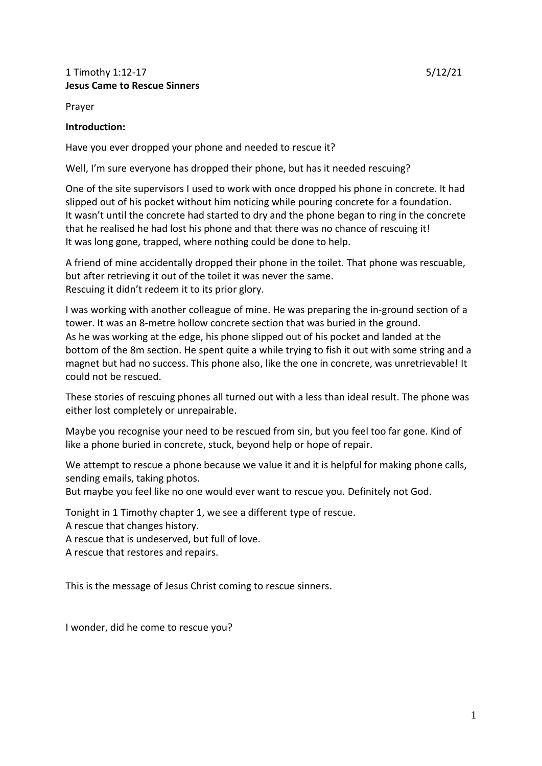## 1 Timothy 1:12-17 5/12/21 **Jesus Came to Rescue Sinners**

Prayer

## **Introduction:**

Have you ever dropped your phone and needed to rescue it?

Well, I'm sure everyone has dropped their phone, but has it needed rescuing?

One of the site supervisors I used to work with once dropped his phone in concrete. It had slipped out of his pocket without him noticing while pouring concrete for a foundation. It wasn't until the concrete had started to dry and the phone began to ring in the concrete that he realised he had lost his phone and that there was no chance of rescuing it! It was long gone, trapped, where nothing could be done to help.

A friend of mine accidentally dropped their phone in the toilet. That phone was rescuable, but after retrieving it out of the toilet it was never the same. Rescuing it didn't redeem it to its prior glory.

I was working with another colleague of mine. He was preparing the in-ground section of a tower. It was an 8-metre hollow concrete section that was buried in the ground. As he was working at the edge, his phone slipped out of his pocket and landed at the bottom of the 8m section. He spent quite a while trying to fish it out with some string and a magnet but had no success. This phone also, like the one in concrete, was unretrievable! It could not be rescued.

These stories of rescuing phones all turned out with a less than ideal result. The phone was either lost completely or unrepairable.

Maybe you recognise your need to be rescued from sin, but you feel too far gone. Kind of like a phone buried in concrete, stuck, beyond help or hope of repair.

We attempt to rescue a phone because we value it and it is helpful for making phone calls, sending emails, taking photos.

But maybe you feel like no one would ever want to rescue you. Definitely not God.

Tonight in 1 Timothy chapter 1, we see a different type of rescue.

A rescue that changes history.

A rescue that is undeserved, but full of love.

A rescue that restores and repairs.

This is the message of Jesus Christ coming to rescue sinners.

I wonder, did he come to rescue you?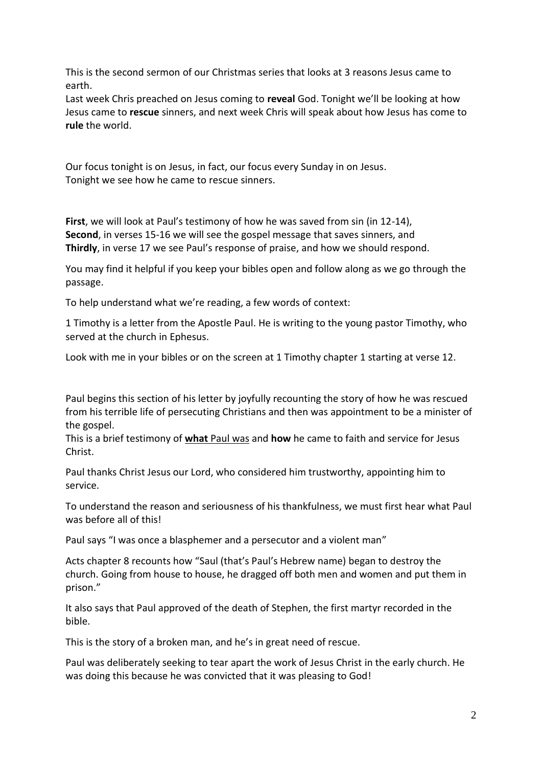This is the second sermon of our Christmas series that looks at 3 reasons Jesus came to earth.

Last week Chris preached on Jesus coming to **reveal** God. Tonight we'll be looking at how Jesus came to **rescue** sinners, and next week Chris will speak about how Jesus has come to **rule** the world.

Our focus tonight is on Jesus, in fact, our focus every Sunday in on Jesus. Tonight we see how he came to rescue sinners.

**First**, we will look at Paul's testimony of how he was saved from sin (in 12-14), **Second**, in verses 15-16 we will see the gospel message that saves sinners, and **Thirdly**, in verse 17 we see Paul's response of praise, and how we should respond.

You may find it helpful if you keep your bibles open and follow along as we go through the passage.

To help understand what we're reading, a few words of context:

1 Timothy is a letter from the Apostle Paul. He is writing to the young pastor Timothy, who served at the church in Ephesus.

Look with me in your bibles or on the screen at 1 Timothy chapter 1 starting at verse 12.

Paul begins this section of his letter by joyfully recounting the story of how he was rescued from his terrible life of persecuting Christians and then was appointment to be a minister of the gospel.

This is a brief testimony of **what** Paul was and **how** he came to faith and service for Jesus Christ.

Paul thanks Christ Jesus our Lord, who considered him trustworthy, appointing him to service.

To understand the reason and seriousness of his thankfulness, we must first hear what Paul was before all of this!

Paul says "I was once a blasphemer and a persecutor and a violent man"

Acts chapter 8 recounts how "Saul (that's Paul's Hebrew name) began to destroy the church. Going from house to house, he dragged off both men and women and put them in prison."

It also says that Paul approved of the death of Stephen, the first martyr recorded in the bible.

This is the story of a broken man, and he's in great need of rescue.

Paul was deliberately seeking to tear apart the work of Jesus Christ in the early church. He was doing this because he was convicted that it was pleasing to God!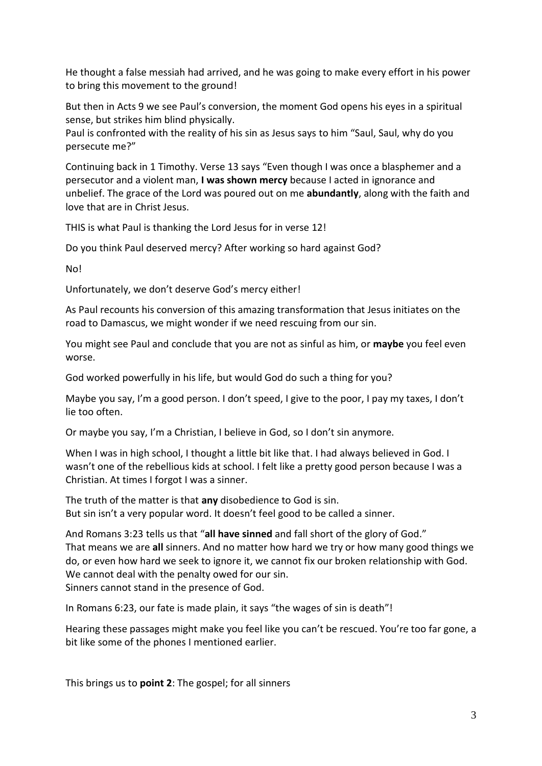He thought a false messiah had arrived, and he was going to make every effort in his power to bring this movement to the ground!

But then in Acts 9 we see Paul's conversion, the moment God opens his eyes in a spiritual sense, but strikes him blind physically.

Paul is confronted with the reality of his sin as Jesus says to him "Saul, Saul, why do you persecute me?"

Continuing back in 1 Timothy. Verse 13 says "Even though I was once a blasphemer and a persecutor and a violent man, **I was shown mercy** because I acted in ignorance and unbelief. The grace of the Lord was poured out on me **abundantly**, along with the faith and love that are in Christ Jesus.

THIS is what Paul is thanking the Lord Jesus for in verse 12!

Do you think Paul deserved mercy? After working so hard against God?

No!

Unfortunately, we don't deserve God's mercy either!

As Paul recounts his conversion of this amazing transformation that Jesus initiates on the road to Damascus, we might wonder if we need rescuing from our sin.

You might see Paul and conclude that you are not as sinful as him, or **maybe** you feel even worse.

God worked powerfully in his life, but would God do such a thing for you?

Maybe you say, I'm a good person. I don't speed, I give to the poor, I pay my taxes, I don't lie too often.

Or maybe you say, I'm a Christian, I believe in God, so I don't sin anymore.

When I was in high school, I thought a little bit like that. I had always believed in God. I wasn't one of the rebellious kids at school. I felt like a pretty good person because I was a Christian. At times I forgot I was a sinner.

The truth of the matter is that **any** disobedience to God is sin. But sin isn't a very popular word. It doesn't feel good to be called a sinner.

And Romans 3:23 tells us that "**all have sinned** and fall short of the glory of God." That means we are **all** sinners. And no matter how hard we try or how many good things we do, or even how hard we seek to ignore it, we cannot fix our broken relationship with God. We cannot deal with the penalty owed for our sin. Sinners cannot stand in the presence of God.

In Romans 6:23, our fate is made plain, it says "the wages of sin is death"!

Hearing these passages might make you feel like you can't be rescued. You're too far gone, a bit like some of the phones I mentioned earlier.

This brings us to **point 2**: The gospel; for all sinners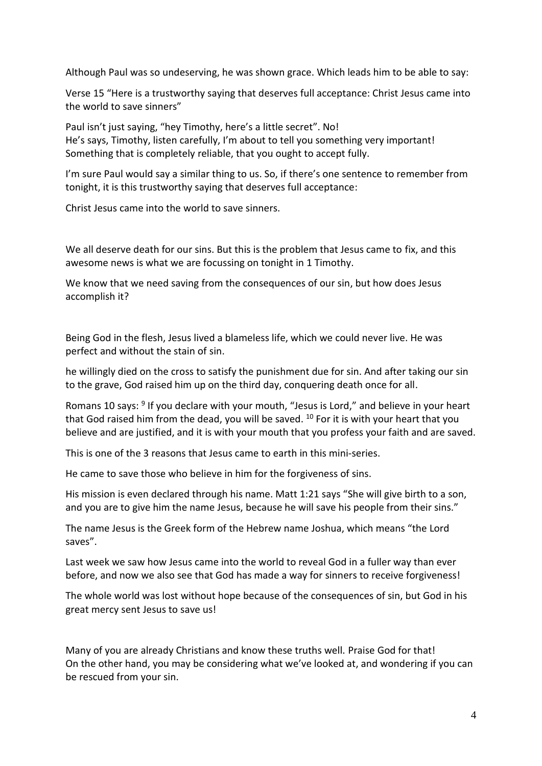Although Paul was so undeserving, he was shown grace. Which leads him to be able to say:

Verse 15 "Here is a trustworthy saying that deserves full acceptance: Christ Jesus came into the world to save sinners"

Paul isn't just saying, "hey Timothy, here's a little secret". No! He's says, Timothy, listen carefully, I'm about to tell you something very important! Something that is completely reliable, that you ought to accept fully.

I'm sure Paul would say a similar thing to us. So, if there's one sentence to remember from tonight, it is this trustworthy saying that deserves full acceptance:

Christ Jesus came into the world to save sinners.

We all deserve death for our sins. But this is the problem that Jesus came to fix, and this awesome news is what we are focussing on tonight in 1 Timothy.

We know that we need saving from the consequences of our sin, but how does Jesus accomplish it?

Being God in the flesh, Jesus lived a blameless life, which we could never live. He was perfect and without the stain of sin.

he willingly died on the cross to satisfy the punishment due for sin. And after taking our sin to the grave, God raised him up on the third day, conquering death once for all.

Romans 10 says: <sup>9</sup> If you declare with your mouth, "Jesus is Lord," and believe in your heart that God raised him from the dead, you will be saved.  $10$  For it is with your heart that you believe and are justified, and it is with your mouth that you profess your faith and are saved.

This is one of the 3 reasons that Jesus came to earth in this mini-series.

He came to save those who believe in him for the forgiveness of sins.

His mission is even declared through his name. Matt 1:21 says "She will give birth to a son, and you are to give him the name Jesus, because he will save his people from their sins."

The name Jesus is the Greek form of the Hebrew name Joshua, which means "the Lord saves".

Last week we saw how Jesus came into the world to reveal God in a fuller way than ever before, and now we also see that God has made a way for sinners to receive forgiveness!

The whole world was lost without hope because of the consequences of sin, but God in his great mercy sent Jesus to save us!

Many of you are already Christians and know these truths well. Praise God for that! On the other hand, you may be considering what we've looked at, and wondering if you can be rescued from your sin.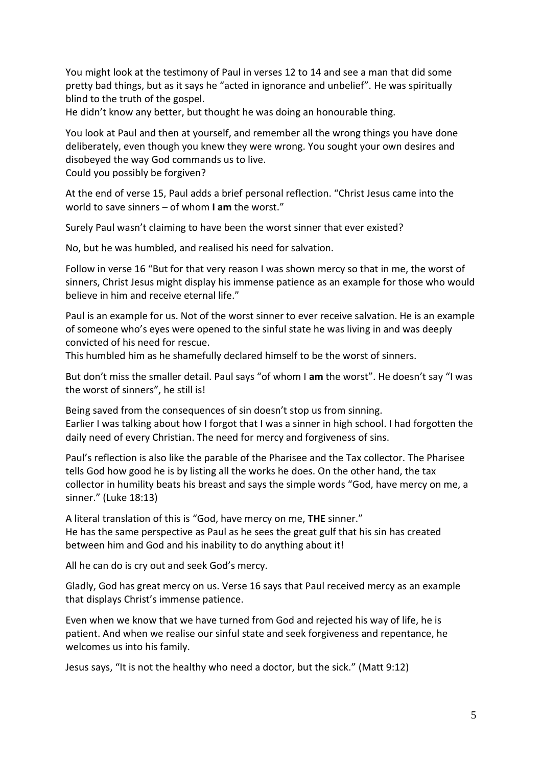You might look at the testimony of Paul in verses 12 to 14 and see a man that did some pretty bad things, but as it says he "acted in ignorance and unbelief". He was spiritually blind to the truth of the gospel.

He didn't know any better, but thought he was doing an honourable thing.

You look at Paul and then at yourself, and remember all the wrong things you have done deliberately, even though you knew they were wrong. You sought your own desires and disobeyed the way God commands us to live.

Could you possibly be forgiven?

At the end of verse 15, Paul adds a brief personal reflection. "Christ Jesus came into the world to save sinners – of whom **I am** the worst."

Surely Paul wasn't claiming to have been the worst sinner that ever existed?

No, but he was humbled, and realised his need for salvation.

Follow in verse 16 "But for that very reason I was shown mercy so that in me, the worst of sinners, Christ Jesus might display his immense patience as an example for those who would believe in him and receive eternal life."

Paul is an example for us. Not of the worst sinner to ever receive salvation. He is an example of someone who's eyes were opened to the sinful state he was living in and was deeply convicted of his need for rescue.

This humbled him as he shamefully declared himself to be the worst of sinners.

But don't miss the smaller detail. Paul says "of whom I **am** the worst". He doesn't say "I was the worst of sinners", he still is!

Being saved from the consequences of sin doesn't stop us from sinning. Earlier I was talking about how I forgot that I was a sinner in high school. I had forgotten the daily need of every Christian. The need for mercy and forgiveness of sins.

Paul's reflection is also like the parable of the Pharisee and the Tax collector. The Pharisee tells God how good he is by listing all the works he does. On the other hand, the tax collector in humility beats his breast and says the simple words "God, have mercy on me, a sinner." (Luke 18:13)

A literal translation of this is "God, have mercy on me, **THE** sinner." He has the same perspective as Paul as he sees the great gulf that his sin has created between him and God and his inability to do anything about it!

All he can do is cry out and seek God's mercy.

Gladly, God has great mercy on us. Verse 16 says that Paul received mercy as an example that displays Christ's immense patience.

Even when we know that we have turned from God and rejected his way of life, he is patient. And when we realise our sinful state and seek forgiveness and repentance, he welcomes us into his family.

Jesus says, "It is not the healthy who need a doctor, but the sick." (Matt 9:12)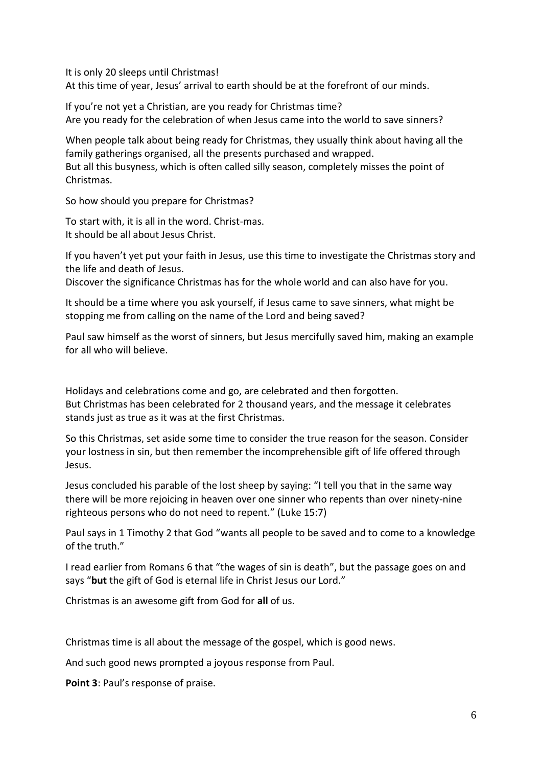It is only 20 sleeps until Christmas!

At this time of year, Jesus' arrival to earth should be at the forefront of our minds.

If you're not yet a Christian, are you ready for Christmas time? Are you ready for the celebration of when Jesus came into the world to save sinners?

When people talk about being ready for Christmas, they usually think about having all the family gatherings organised, all the presents purchased and wrapped. But all this busyness, which is often called silly season, completely misses the point of Christmas.

So how should you prepare for Christmas?

To start with, it is all in the word. Christ-mas. It should be all about Jesus Christ.

If you haven't yet put your faith in Jesus, use this time to investigate the Christmas story and the life and death of Jesus.

Discover the significance Christmas has for the whole world and can also have for you.

It should be a time where you ask yourself, if Jesus came to save sinners, what might be stopping me from calling on the name of the Lord and being saved?

Paul saw himself as the worst of sinners, but Jesus mercifully saved him, making an example for all who will believe.

Holidays and celebrations come and go, are celebrated and then forgotten. But Christmas has been celebrated for 2 thousand years, and the message it celebrates stands just as true as it was at the first Christmas.

So this Christmas, set aside some time to consider the true reason for the season. Consider your lostness in sin, but then remember the incomprehensible gift of life offered through Jesus.

Jesus concluded his parable of the lost sheep by saying: "I tell you that in the same way there will be more rejoicing in heaven over one sinner who repents than over ninety-nine righteous persons who do not need to repent." (Luke 15:7)

Paul says in 1 Timothy 2 that God "wants all people to be saved and to come to a knowledge of the truth."

I read earlier from Romans 6 that "the wages of sin is death", but the passage goes on and says "**but** the gift of God is eternal life in Christ Jesus our Lord."

Christmas is an awesome gift from God for **all** of us.

Christmas time is all about the message of the gospel, which is good news.

And such good news prompted a joyous response from Paul.

**Point 3**: Paul's response of praise.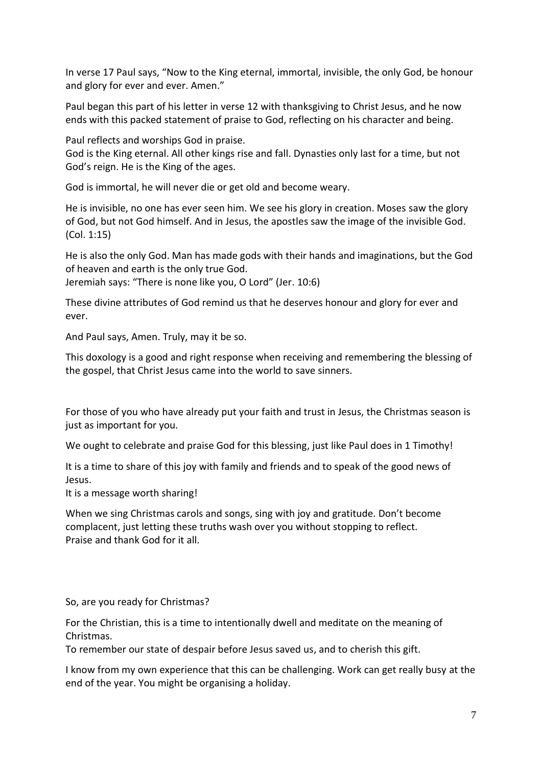In verse 17 Paul says, "Now to the King eternal, immortal, invisible, the only God, be honour and glory for ever and ever. Amen."

Paul began this part of his letter in verse 12 with thanksgiving to Christ Jesus, and he now ends with this packed statement of praise to God, reflecting on his character and being.

Paul reflects and worships God in praise.

God is the King eternal. All other kings rise and fall. Dynasties only last for a time, but not God's reign. He is the King of the ages.

God is immortal, he will never die or get old and become weary.

He is invisible, no one has ever seen him. We see his glory in creation. Moses saw the glory of God, but not God himself. And in Jesus, the apostles saw the image of the invisible God. (Col. 1:15)

He is also the only God. Man has made gods with their hands and imaginations, but the God of heaven and earth is the only true God.

Jeremiah says: "There is none like you, O Lord" (Jer. 10:6)

These divine attributes of God remind us that he deserves honour and glory for ever and ever.

And Paul says, Amen. Truly, may it be so.

This doxology is a good and right response when receiving and remembering the blessing of the gospel, that Christ Jesus came into the world to save sinners.

For those of you who have already put your faith and trust in Jesus, the Christmas season is just as important for you.

We ought to celebrate and praise God for this blessing, just like Paul does in 1 Timothy!

It is a time to share of this joy with family and friends and to speak of the good news of Jesus.

It is a message worth sharing!

When we sing Christmas carols and songs, sing with joy and gratitude. Don't become complacent, just letting these truths wash over you without stopping to reflect. Praise and thank God for it all.

So, are you ready for Christmas?

For the Christian, this is a time to intentionally dwell and meditate on the meaning of Christmas.

To remember our state of despair before Jesus saved us, and to cherish this gift.

I know from my own experience that this can be challenging. Work can get really busy at the end of the year. You might be organising a holiday.